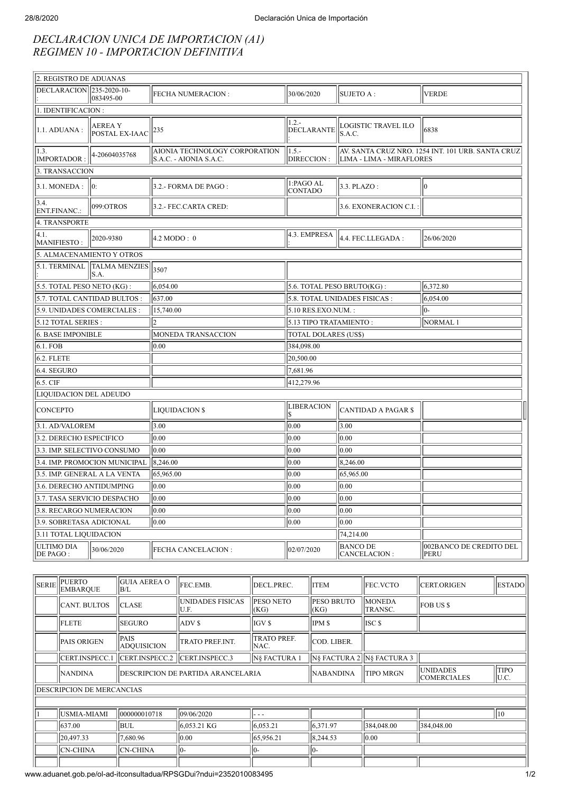## *DECLARACION UNICA DE IMPORTACION (A1) REGIMEN 10 - IMPORTACION DEFINITIVA*

| 2. REGISTRO DE ADUANAS               |                                 |                                                          |                               |                                 |                                                   |  |  |
|--------------------------------------|---------------------------------|----------------------------------------------------------|-------------------------------|---------------------------------|---------------------------------------------------|--|--|
| DECLARACION 235-2020-10-             | 083495-00                       | <b>FECHA NUMERACION:</b>                                 | 30/06/2020                    | SUJETO A :                      | <b>VERDE</b>                                      |  |  |
| 1. IDENTIFICACION:                   |                                 |                                                          |                               |                                 |                                                   |  |  |
| 1.1. ADUANA :                        | <b>AEREAY</b><br>POSTAL EX-IAAC | 235                                                      | $1.2 -$<br><b>DECLARANTE</b>  | LOGISTIC TRAVEL ILO<br>S.A.C.   | 6838                                              |  |  |
| 1.3.<br>4-20604035768<br>IMPORTADOR: |                                 | AIONIA TECHNOLOGY CORPORATION<br> S.A.C. - AIONIA S.A.C. | $1.5 -$<br>DIRECCION :        | LIMA - LIMA - MIRAFLORES        | AV. SANTA CRUZ NRO. 1254 INT. 101 URB. SANTA CRUZ |  |  |
| 3. TRANSACCION                       |                                 |                                                          |                               |                                 |                                                   |  |  |
| 3.1. MONEDA:                         | 10:                             | 3.2.- FORMA DE PAGO :                                    | 1:PAGO AL<br><b>CONTADO</b>   | $3.3.$ PLAZO:                   | 10                                                |  |  |
| 3.4.<br>ENT.FINANC.:                 | 099:OTROS                       | 3.2.- FEC.CARTA CRED:                                    |                               | 3.6. EXONERACION C.I.           |                                                   |  |  |
| 4. TRANSPORTE                        |                                 |                                                          |                               |                                 |                                                   |  |  |
| 4.1.<br>MANIFIESTO:                  | 2020-9380                       | $4.2 \text{ MODO}: 0$                                    | 4.3. EMPRESA                  | 4.4. FEC.LLEGADA:               | 26/06/2020                                        |  |  |
|                                      | 5. ALMACENAMIENTO Y OTROS       |                                                          |                               |                                 |                                                   |  |  |
| 5.1. TERMINAL                        | TALMA MENZIES 3507<br>S.A.      |                                                          |                               |                                 |                                                   |  |  |
| 5.5. TOTAL PESO NETO (KG):           |                                 | 6.054.00                                                 | 5.6. TOTAL PESO BRUTO(KG):    |                                 | 6,372.80                                          |  |  |
| 5.7. TOTAL CANTIDAD BULTOS :         |                                 | 637.00                                                   | 5.8. TOTAL UNIDADES FISICAS : |                                 | 6,054.00                                          |  |  |
| 5.9. UNIDADES COMERCIALES :          |                                 | 15,740.00                                                | 5.10 RES.EXO.NUM.:            |                                 | 10-                                               |  |  |
| 5.12 TOTAL SERIES :                  |                                 | 2                                                        | 5.13 TIPO TRATAMIENTO:        |                                 | NORMAL <sub>1</sub>                               |  |  |
| 6. BASE IMPONIBLE                    |                                 | MONEDA TRANSACCION                                       | <b>TOTAL DOLARES (US\$)</b>   |                                 |                                                   |  |  |
| 6.1. FOB                             |                                 | 0.00                                                     | 384,098.00                    |                                 |                                                   |  |  |
| $6.2.$ FLETE                         |                                 |                                                          | 20,500.00                     |                                 |                                                   |  |  |
| $6.4.$ SEGURO                        |                                 |                                                          | 7,681.96                      |                                 |                                                   |  |  |
| 6.5. CIF                             |                                 |                                                          | 412,279.96                    |                                 |                                                   |  |  |
| LIQUIDACION DEL ADEUDO               |                                 |                                                          |                               |                                 |                                                   |  |  |
| <b>CONCEPTO</b>                      |                                 | <b>LIQUIDACION \$</b>                                    | <b>LIBERACION</b><br>l\$      | CANTIDAD A PAGAR \$             |                                                   |  |  |
| 3.1. AD/VALOREM                      |                                 | 3.00                                                     | 0.00                          | 3.00                            |                                                   |  |  |
| 3.2. DERECHO ESPECIFICO              |                                 | 0.00                                                     | 0.00                          | 0.00                            |                                                   |  |  |
| 3.3. IMP. SELECTIVO CONSUMO          |                                 | 0.00                                                     | 0.00                          | 0.00                            |                                                   |  |  |
| 3.4. IMP. PROMOCION MUNICIPAL        |                                 | 8,246.00                                                 | 0.00                          | 8,246.00                        |                                                   |  |  |
| 3.5. IMP. GENERAL A LA VENTA         |                                 | 65,965.00                                                | 0.00                          | 65,965.00                       |                                                   |  |  |
| 3.6. DERECHO ANTIDUMPING             |                                 | 0.00                                                     | 0.00                          | 0.00                            |                                                   |  |  |
| 3.7. TASA SERVICIO DESPACHO          |                                 | 0.00                                                     | 0.00                          | $ 0.00\rangle$                  |                                                   |  |  |
| 3.8. RECARGO NUMERACION              |                                 | 0.00                                                     | 0.00                          | 0.00                            |                                                   |  |  |
| 3.9. SOBRETASA ADICIONAL             |                                 | 0.00                                                     | 0.00 <br>0.00                 |                                 |                                                   |  |  |
| 3.11 TOTAL LIQUIDACION               |                                 |                                                          | 74,214.00                     |                                 |                                                   |  |  |
| ULTIMO DIA<br>DE PAGO :              | 30/06/2020                      | <b>FECHA CANCELACION:</b>                                | 02/07/2020                    | <b>BANCO DE</b><br>CANCELACION: | 002BANCO DE CREDITO DEL<br>PERU                   |  |  |

| Iserie                           | <b>IPUERTO</b><br><b>EMBAROUE</b> | <b>GUIA AEREA O</b><br>B/L                | <b>FEC.EMB.</b>           | DECL.PREC.                 | <b>ITEM</b>                | <b>FEC.VCTO</b>                                                                  | <b>CERT.ORIGEN</b> | <b>ESTADO</b> |
|----------------------------------|-----------------------------------|-------------------------------------------|---------------------------|----------------------------|----------------------------|----------------------------------------------------------------------------------|--------------------|---------------|
|                                  | <b>CANT. BULTOS</b>               | <b>CLASE</b>                              | UNIDADES FISICAS<br>IU.F. | <b>PESO NETO</b><br>(KG)   | <b>PESO BRUTO</b><br>(KG)  | <b>MONEDA</b><br>TRANSC.                                                         | <b>FOB US \$</b>   |               |
|                                  | <b>FLETE</b>                      | <b>SEGURO</b>                             | <b>ADVS</b>               | IGV \$                     | <b>IPMS</b>                | ISC <sub>\$</sub>                                                                |                    |               |
|                                  | <b>PAIS ORIGEN</b>                | <b>PAIS</b><br><b>ADOUISICION</b>         | <b>TRATO PREF.INT.</b>    | <b>TRATO PREF.</b><br>NAC. | COD. LIBER.                |                                                                                  |                    |               |
|                                  | <b>CERT.INSPECC.1</b>             | CERT.INSPECC.2                            | ICERT.INSPECC.3           | IN§ FACTURA 1              | IN§ FACTURA 2 N§ FACTURA 3 |                                                                                  |                    |               |
|                                  | <b>NANDINA</b>                    | <b>DESCRIPCION DE PARTIDA ARANCELARIA</b> |                           |                            | <b>NABANDINA</b>           | <b>TIPO</b><br><b>UNIDADES</b><br><b>TIPO MRGN</b><br><b>COMERCIALES</b><br>U.C. |                    |               |
| <b>DESCRIPCION DE MERCANCIAS</b> |                                   |                                           |                           |                            |                            |                                                                                  |                    |               |
|                                  |                                   |                                           |                           |                            |                            |                                                                                  |                    |               |
|                                  | USMIA-MIAMI                       | 000000010718                              | 09/06/2020                |                            |                            |                                                                                  |                    | 10            |
|                                  | 637.00                            | <b>BUL</b>                                | 6.053.21 KG               | 6,053.21                   | 6,371.97                   | 384,048.00                                                                       | 384,048.00         |               |
|                                  | 20.497.33                         | 7,680.96                                  | 0.00                      | 65,956.21                  | 8,244.53                   | 0.00                                                                             |                    |               |
|                                  | <b>CN-CHINA</b>                   | <b>CN-CHINA</b>                           | $ 0-$                     | II) –                      | $10-$                      |                                                                                  |                    |               |
|                                  |                                   |                                           |                           |                            |                            |                                                                                  |                    |               |